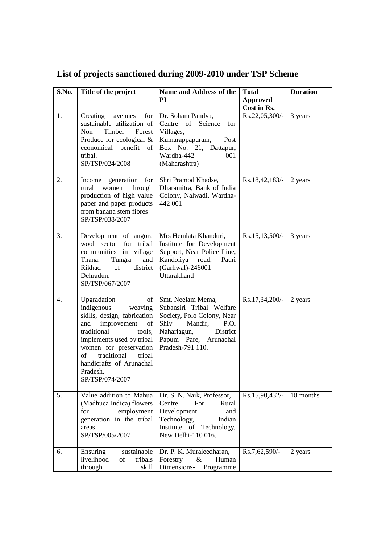| S.No. | Title of the project                                                                                                                                                                                                                                                            | Name and Address of the<br>PI                                                                                                                                                  | <b>Total</b>                   | <b>Duration</b> |
|-------|---------------------------------------------------------------------------------------------------------------------------------------------------------------------------------------------------------------------------------------------------------------------------------|--------------------------------------------------------------------------------------------------------------------------------------------------------------------------------|--------------------------------|-----------------|
|       |                                                                                                                                                                                                                                                                                 |                                                                                                                                                                                | <b>Approved</b><br>Cost in Rs. |                 |
| 1.    | Creating<br>for<br>avenues<br>sustainable utilization of<br>Non<br>Timber<br>Forest<br>Produce for ecological $&$<br>economical benefit of<br>tribal.<br>SP/TSP/024/2008                                                                                                        | Dr. Soham Pandya,<br>Centre of<br>Science<br>for<br>Villages,<br>Kumarappapuram,<br>Post<br>Box No. 21, Dattapur,<br>Wardha-442<br>001<br>(Maharashtra)                        | Rs.22,05,300/-                 | 3 years         |
| 2.    | generation<br>for<br>Income<br>through<br>rural<br>women<br>production of high value<br>paper and paper products<br>from banana stem fibres<br>SP/TSP/038/2007                                                                                                                  | Shri Pramod Khadse,<br>Dharamitra, Bank of India<br>Colony, Nalwadi, Wardha-<br>442 001                                                                                        | Rs.18,42,183/-                 | 2 years         |
| 3.    | Development of angora<br>wool sector for tribal<br>communities in village<br>Tungra<br>and<br>Thana,<br>Rikhad<br>of<br>district<br>Dehradun.<br>SP/TSP/067/2007                                                                                                                | Mrs Hemlata Khanduri,<br>Institute for Development<br>Support, Near Police Line,<br>Kandoliya road,<br>Pauri<br>(Garhwal)-246001<br>Uttarakhand                                | $Rs.15,13,500/-$               | 3 years         |
| 4.    | Upgradation<br>of<br>indigenous<br>weaving<br>skills, design, fabrication<br>improvement<br>of<br>and<br>traditional<br>tools,<br>implements used by tribal<br>women for preservation<br>traditional<br>of<br>tribal<br>handicrafts of Arunachal<br>Pradesh.<br>SP/TSP/074/2007 | Smt. Neelam Mema,<br>Subansiri Tribal Welfare<br>Society, Polo Colony, Near<br>Shiv<br>Mandir,<br>P.O.<br>Naharlagun,<br>District<br>Papum Pare, Arunachal<br>Pradesh-791 110. | Rs.17,34,200/-                 | 2 years         |
| 5.    | Value addition to Mahua<br>(Madhuca Indica) flowers<br>employment<br>for<br>generation in the tribal<br>areas<br>SP/TSP/005/2007                                                                                                                                                | Dr. S. N. Naik, Professor,<br>Rural<br>Centre<br>For<br>Development<br>and<br>Technology,<br>Indian<br>Institute of<br>Technology,<br>New Delhi-110 016.                       | Rs.15,90,432/-                 | 18 months       |
| 6.    | sustainable<br>Ensuring<br>livelihood<br>tribals<br>of<br>through<br>skill                                                                                                                                                                                                      | Dr. P. K. Muraleedharan,<br>Forestry<br>Human<br>&<br>Dimensions-<br>Programme                                                                                                 | Rs.7,62,590/-                  | 2 years         |

## **List of projects sanctioned during 2009-2010 under TSP Scheme**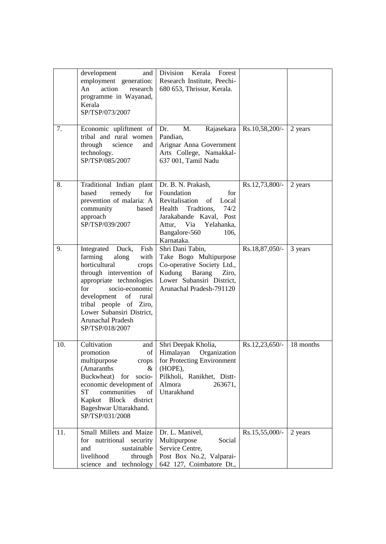|     | development<br>and<br>employment generation:<br>action<br>An<br>research<br>programme in Wayanad,<br>Kerala<br>SP/TSP/073/2007                                                                                                                                                        | Division Kerala Forest<br>Research Institute, Peechi-<br>680 653, Thrissur, Kerala.                                                                                        |                   |           |
|-----|---------------------------------------------------------------------------------------------------------------------------------------------------------------------------------------------------------------------------------------------------------------------------------------|----------------------------------------------------------------------------------------------------------------------------------------------------------------------------|-------------------|-----------|
| 7.  | Economic upliftment of<br>tribal and rural women<br>through<br>science<br>and<br>technology.<br>SP/TSP/085/2007                                                                                                                                                                       | M.<br>Rajasekara<br>Dr.<br>Pandian.<br>Arignar Anna Government<br>Arts College, Namakkal-<br>637 001, Tamil Nadu                                                           | $Rs.10,58,200/$ - | 2 years   |
| 8.  | Traditional Indian plant   Dr. B. N. Prakash,<br>for<br>remedy<br>based<br>prevention of malaria: A<br>community<br>based<br>approach<br>SP/TSP/039/2007                                                                                                                              | Foundation<br>for<br>of<br>Revitalisation<br>Local<br>Health Tradtions,<br>74/2<br>Jarakabande Kaval, Post<br>Attur, Via Yelahanka,<br>Bangalore-560<br>106,<br>Karnataka. | Rs.12,73,800/-    | 2 years   |
| 9.  | Integrated Duck,<br>Fish<br>farming<br>along<br>with<br>horticultural<br>crops<br>through intervention of<br>appropriate technologies<br>for<br>socio-economic<br>development of rural<br>tribal people of Ziro,<br>Lower Subansiri District,<br>Arunachal Pradesh<br>SP/TSP/018/2007 | Shri Dani Tabin,<br>Take Bogo Multipurpose<br>Co-operative Society Ltd.,<br>Kudung<br>Barang<br>Ziro,<br>Lower Subansiri District,<br>Arunachal Pradesh-791120             | Rs.18,87,050/-    | 3 years   |
| 10. | Cultivation<br>and<br>of<br>promotion<br>multipurpose<br>crops<br>(Amaranths<br>&<br>Buckwheat)<br>for<br>socio-<br>economic development of<br>communities<br>ST<br>of<br>Kapkot<br>Block<br>district<br>Bageshwar Uttarakhand.<br>SP/TSP/031/2008                                    | Shri Deepak Kholia,<br>Himalayan<br>Organization<br>for Protecting Environment<br>(HOPE),<br>Pilkholi, Ranikhet, Distt-<br>Almora<br>263671,<br>Uttarakhand                | $Rs.12,23,650/-$  | 18 months |
| 11. | Small Millets and Maize<br>for nutritional<br>security<br>sustainable<br>and<br>livelihood<br>through<br>science and technology                                                                                                                                                       | Dr. L. Manivel,<br>Social<br>Multipurpose<br>Service Centre,<br>Post Box No.2, Valparai-<br>642 127, Coimbatore Dt.,                                                       | Rs.15,55,000/-    | 2 years   |